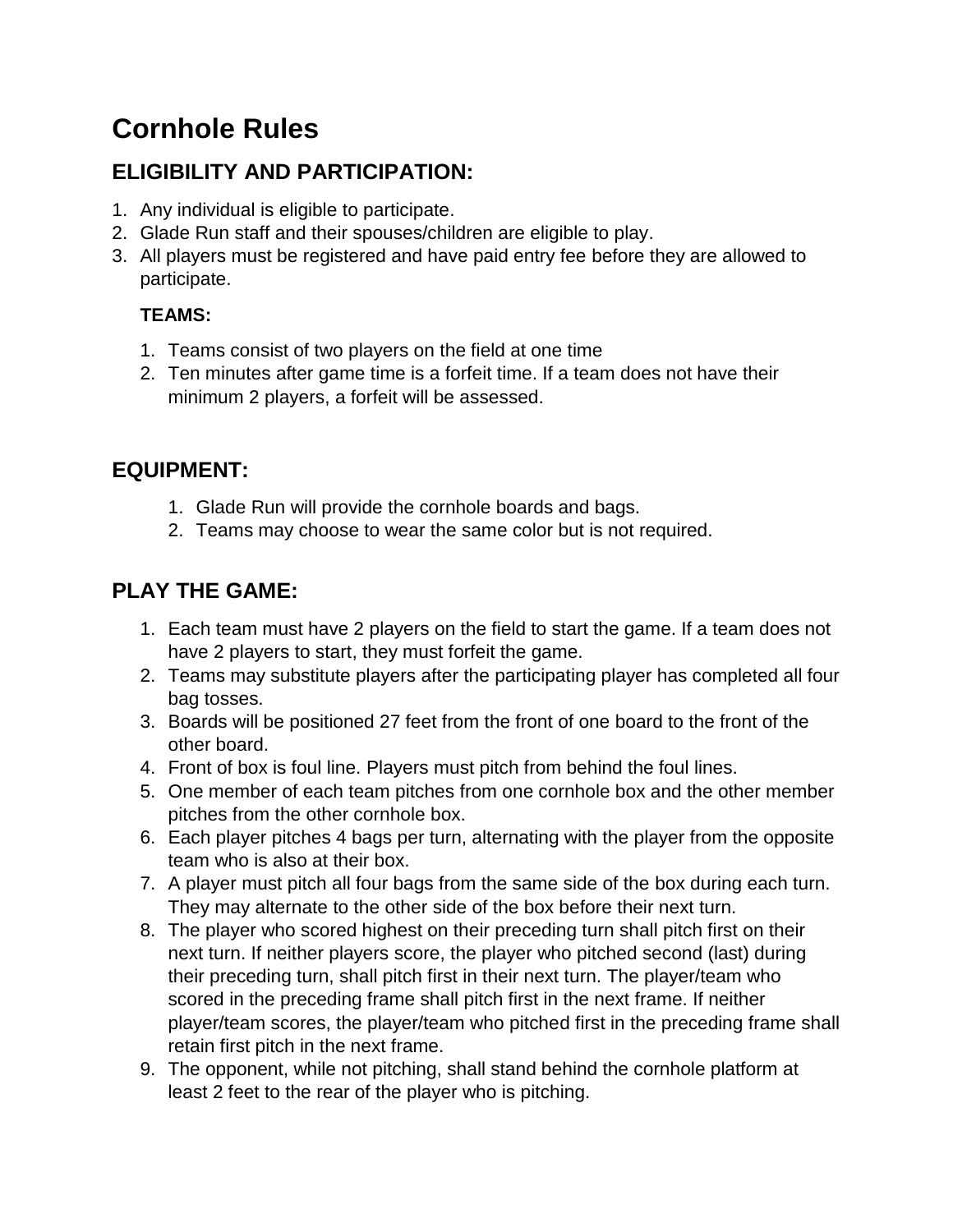# **Cornhole Rules**

## **ELIGIBILITY AND PARTICIPATION:**

- 1. Any individual is eligible to participate.
- 2. Glade Run staff and their spouses/children are eligible to play.
- 3. All players must be registered and have paid entry fee before they are allowed to participate.

#### **TEAMS:**

- 1. Teams consist of two players on the field at one time
- 2. Ten minutes after game time is a forfeit time. If a team does not have their minimum 2 players, a forfeit will be assessed.

# **EQUIPMENT:**

- 1. Glade Run will provide the cornhole boards and bags.
- 2. Teams may choose to wear the same color but is not required.

### **PLAY THE GAME:**

- 1. Each team must have 2 players on the field to start the game. If a team does not have 2 players to start, they must forfeit the game.
- 2. Teams may substitute players after the participating player has completed all four bag tosses.
- 3. Boards will be positioned 27 feet from the front of one board to the front of the other board.
- 4. Front of box is foul line. Players must pitch from behind the foul lines.
- 5. One member of each team pitches from one cornhole box and the other member pitches from the other cornhole box.
- 6. Each player pitches 4 bags per turn, alternating with the player from the opposite team who is also at their box.
- 7. A player must pitch all four bags from the same side of the box during each turn. They may alternate to the other side of the box before their next turn.
- 8. The player who scored highest on their preceding turn shall pitch first on their next turn. If neither players score, the player who pitched second (last) during their preceding turn, shall pitch first in their next turn. The player/team who scored in the preceding frame shall pitch first in the next frame. If neither player/team scores, the player/team who pitched first in the preceding frame shall retain first pitch in the next frame.
- 9. The opponent, while not pitching, shall stand behind the cornhole platform at least 2 feet to the rear of the player who is pitching.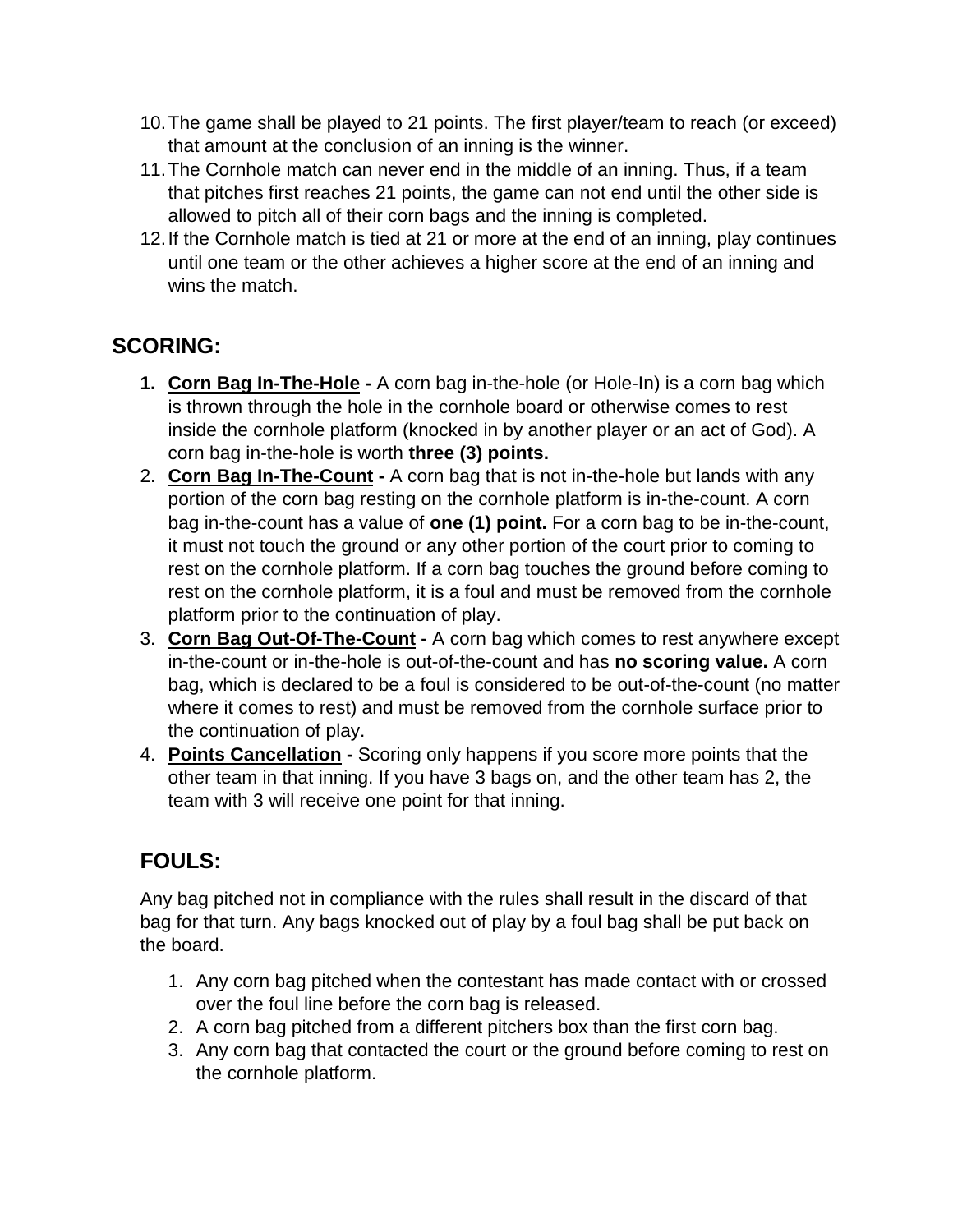- 10.The game shall be played to 21 points. The first player/team to reach (or exceed) that amount at the conclusion of an inning is the winner.
- 11.The Cornhole match can never end in the middle of an inning. Thus, if a team that pitches first reaches 21 points, the game can not end until the other side is allowed to pitch all of their corn bags and the inning is completed.
- 12.If the Cornhole match is tied at 21 or more at the end of an inning, play continues until one team or the other achieves a higher score at the end of an inning and wins the match.

### **SCORING:**

- **1. Corn Bag In-The-Hole -** A corn bag in-the-hole (or Hole-In) is a corn bag which is thrown through the hole in the cornhole board or otherwise comes to rest inside the cornhole platform (knocked in by another player or an act of God). A corn bag in-the-hole is worth **three (3) points.**
- 2. **Corn Bag In-The-Count -** A corn bag that is not in-the-hole but lands with any portion of the corn bag resting on the cornhole platform is in-the-count. A corn bag in-the-count has a value of **one (1) point.** For a corn bag to be in-the-count, it must not touch the ground or any other portion of the court prior to coming to rest on the cornhole platform. If a corn bag touches the ground before coming to rest on the cornhole platform, it is a foul and must be removed from the cornhole platform prior to the continuation of play.
- 3. **Corn Bag Out-Of-The-Count -** A corn bag which comes to rest anywhere except in-the-count or in-the-hole is out-of-the-count and has **no scoring value.** A corn bag, which is declared to be a foul is considered to be out-of-the-count (no matter where it comes to rest) and must be removed from the cornhole surface prior to the continuation of play.
- 4. **Points Cancellation -** Scoring only happens if you score more points that the other team in that inning. If you have 3 bags on, and the other team has 2, the team with 3 will receive one point for that inning.

# **FOULS:**

Any bag pitched not in compliance with the rules shall result in the discard of that bag for that turn. Any bags knocked out of play by a foul bag shall be put back on the board.

- 1. Any corn bag pitched when the contestant has made contact with or crossed over the foul line before the corn bag is released.
- 2. A corn bag pitched from a different pitchers box than the first corn bag.
- 3. Any corn bag that contacted the court or the ground before coming to rest on the cornhole platform.